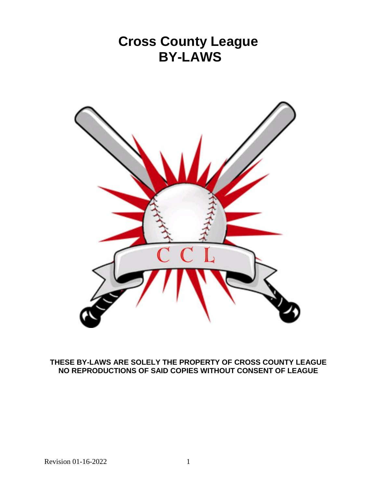

# **THESE BY-LAWS ARE SOLELY THE PROPERTY OF CROSS COUNTY LEAGUE NO REPRODUCTIONS OF SAID COPIES WITHOUT CONSENT OF LEAGUE**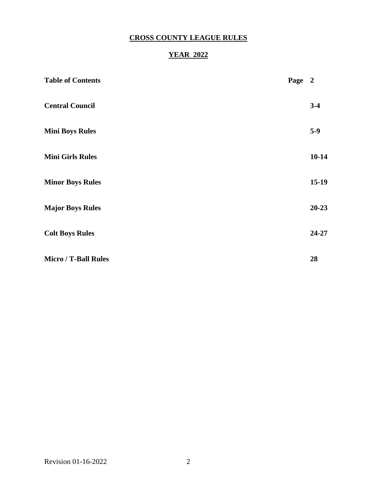# **CROSS COUNTY LEAGUE RULES**

# **YEAR 2022**

| <b>Table of Contents</b>    | Page 2 |           |
|-----------------------------|--------|-----------|
| <b>Central Council</b>      |        | $3-4$     |
| <b>Mini Boys Rules</b>      |        | $5-9$     |
| <b>Mini Girls Rules</b>     |        | $10 - 14$ |
| <b>Minor Boys Rules</b>     |        | $15-19$   |
| <b>Major Boys Rules</b>     |        | $20 - 23$ |
| <b>Colt Boys Rules</b>      |        | 24-27     |
| <b>Micro / T-Ball Rules</b> |        | 28        |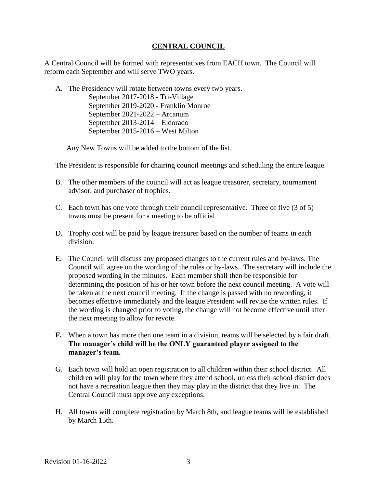# **CENTRAL COUNCIL**

A Central Council will be formed with representatives from EACH town. The Council will reform each September and will serve TWO years.

A. The Presidency will rotate between towns every two years. September 2017-2018 - Tri-Village September 2019-2020 - Franklin Monroe September 2021-2022 – Arcanum September 2013-2014 – Eldorado September 2015-2016 – West Milton

Any New Towns will be added to the bottom of the list.

The President is responsible for chairing council meetings and scheduling the entire league.

- B. The other members of the council will act as league treasurer, secretary, tournament advisor, and purchaser of trophies.
- C. Each town has one vote through their council representative. Three of five (3 of 5) towns must be present for a meeting to be official.
- D. Trophy cost will be paid by league treasurer based on the number of teams in each division.
- E. The Council will discuss any proposed changes to the current rules and by-laws. The Council will agree on the wording of the rules or by-laws. The secretary will include the proposed wording in the minutes. Each member shall then be responsible for determining the position of his or her town before the next council meeting. A vote will be taken at the next council meeting. If the change is passed with no rewording, it becomes effective immediately and the league President will revise the written rules. If the wording is changed prior to voting, the change will not become effective until after the next meeting to allow for revote.
- **F.** When a town has more then one team in a division, teams will be selected by a fair draft. **The manager's child will be the ONLY guaranteed player assigned to the manager's team.**
- G. Each town will hold an open registration to all children within their school district. All children will play for the town where they attend school, unless their school district does not have a recreation league then they may play in the district that they live in. The Central Council must approve any exceptions.
- H. All towns will complete registration by March 8th, and league teams will be established by March 15th.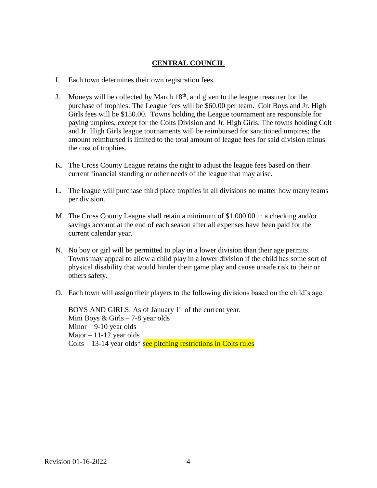# **CENTRAL COUNCIL**

- I. Each town determines their own registration fees.
- J. Moneys will be collected by March  $18<sup>th</sup>$ , and given to the league treasurer for the purchase of trophies: The League fees will be \$60.00 per team. Colt Boys and Jr. High Girls fees will be \$150.00. Towns holding the League tournament are responsible for paying umpires, except for the Colts Division and Jr. High Girls. The towns holding Colt and Jr. High Girls league tournaments will be reimbursed for sanctioned umpires; the amount reimbursed is limited to the total amount of league fees for said division minus the cost of trophies.
- K. The Cross County League retains the right to adjust the league fees based on their current financial standing or other needs of the league that may arise.
- L. The league will purchase third place trophies in all divisions no matter how many teams per division.
- M. The Cross County League shall retain a minimum of \$1,000.00 in a checking and/or savings account at the end of each season after all expenses have been paid for the current calendar year.
- N. No boy or girl will be permitted to play in a lower division than their age permits. Towns may appeal to allow a child play in a lower division if the child has some sort of physical disability that would hinder their game play and cause unsafe risk to their or others safety.
- O. Each town will assign their players to the following divisions based on the child's age.

BOYS AND GIRLS: As of January 1<sup>st</sup> of the current year. Mini Boys & Girls – 7-8 year olds Minor  $-9-10$  year olds Major  $-11-12$  year olds Colts  $-13-14$  year olds\* see pitching restrictions in Colts rules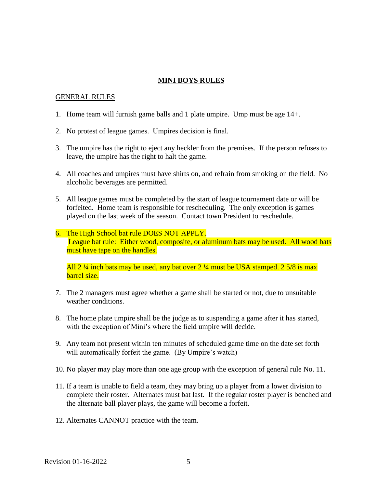#### **MINI BOYS RULES**

#### GENERAL RULES

- 1. Home team will furnish game balls and 1 plate umpire. Ump must be age 14+.
- 2. No protest of league games. Umpires decision is final.
- 3. The umpire has the right to eject any heckler from the premises. If the person refuses to leave, the umpire has the right to halt the game.
- 4. All coaches and umpires must have shirts on, and refrain from smoking on the field. No alcoholic beverages are permitted.
- 5. All league games must be completed by the start of league tournament date or will be forfeited. Home team is responsible for rescheduling. The only exception is games played on the last week of the season. Contact town President to reschedule.
- 6. The High School bat rule DOES NOT APPLY. League bat rule: Either wood, composite, or aluminum bats may be used. All wood bats must have tape on the handles.

All  $2\frac{1}{4}$  inch bats may be used, any bat over  $2\frac{1}{4}$  must be USA stamped.  $2\frac{5}{8}$  is max barrel size.

- 7. The 2 managers must agree whether a game shall be started or not, due to unsuitable weather conditions.
- 8. The home plate umpire shall be the judge as to suspending a game after it has started, with the exception of Mini's where the field umpire will decide.
- 9. Any team not present within ten minutes of scheduled game time on the date set forth will automatically forfeit the game. (By Umpire's watch)
- 10. No player may play more than one age group with the exception of general rule No. 11.
- 11. If a team is unable to field a team, they may bring up a player from a lower division to complete their roster. Alternates must bat last. If the regular roster player is benched and the alternate ball player plays, the game will become a forfeit.
- 12. Alternates CANNOT practice with the team.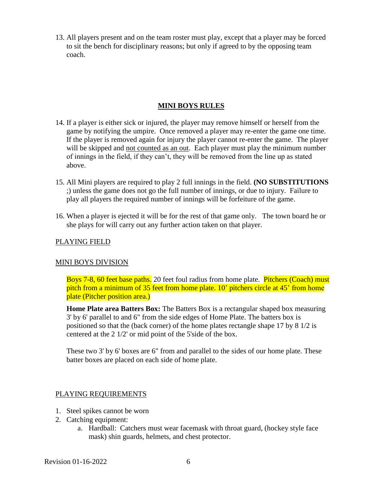13. All players present and on the team roster must play, except that a player may be forced to sit the bench for disciplinary reasons; but only if agreed to by the opposing team coach.

## **MINI BOYS RULES**

- 14. If a player is either sick or injured, the player may remove himself or herself from the game by notifying the umpire. Once removed a player may re-enter the game one time. If the player is removed again for injury the player cannot re-enter the game. The player will be skipped and not counted as an out. Each player must play the minimum number of innings in the field, if they can't, they will be removed from the line up as stated above.
- 15. All Mini players are required to play 2 full innings in the field. **(NO SUBSTITUTIONS** ;) unless the game does not go the full number of innings, or due to injury. Failure to play all players the required number of innings will be forfeiture of the game.
- 16. When a player is ejected it will be for the rest of that game only. The town board he or she plays for will carry out any further action taken on that player.

## PLAYING FIELD

## MINI BOYS DIVISION

Boys 7-8, 60 feet base paths. 20 feet foul radius from home plate. Pitchers (Coach) must pitch from a minimum of 35 feet from home plate. 10' pitchers circle at 45' from home plate (Pitcher position area.)

**Home Plate area Batters Box:** The Batters Box is a rectangular shaped box measuring 3' by 6' parallel to and 6" from the side edges of Home Plate. The batters box is positioned so that the (back corner) of the home plates rectangle shape 17 by 8 1/2 is centered at the 2 1/2' or mid point of the 5'side of the box.

These two 3' by 6' boxes are 6" from and parallel to the sides of our home plate. These batter boxes are placed on each side of home plate.

## PLAYING REQUIREMENTS

- 1. Steel spikes cannot be worn
- 2. Catching equipment:
	- a. Hardball: Catchers must wear facemask with throat guard, (hockey style face mask) shin guards, helmets, and chest protector.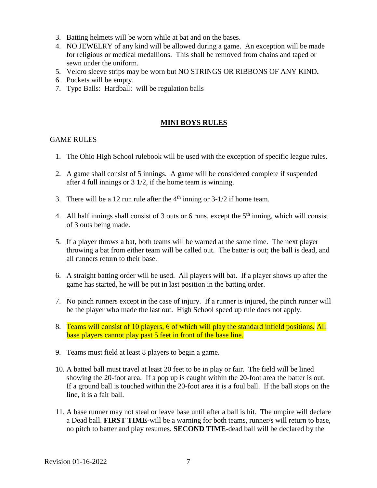- 3. Batting helmets will be worn while at bat and on the bases.
- 4. NO JEWELRY of any kind will be allowed during a game. An exception will be made for religious or medical medallions. This shall be removed from chains and taped or sewn under the uniform.
- 5. Velcro sleeve strips may be worn but NO STRINGS OR RIBBONS OF ANY KIND**.**
- 6. Pockets will be empty.
- 7. Type Balls: Hardball: will be regulation balls

### **MINI BOYS RULES**

## GAME RULES

- 1. The Ohio High School rulebook will be used with the exception of specific league rules.
- 2. A game shall consist of 5 innings. A game will be considered complete if suspended after 4 full innings or 3 1/2, if the home team is winning.
- 3. There will be a 12 run rule after the  $4<sup>th</sup>$  inning or 3-1/2 if home team.
- 4. All half innings shall consist of 3 outs or 6 runs, except the  $5<sup>th</sup>$  inning, which will consist of 3 outs being made.
- 5. If a player throws a bat, both teams will be warned at the same time. The next player throwing a bat from either team will be called out. The batter is out; the ball is dead, and all runners return to their base.
- 6. A straight batting order will be used. All players will bat. If a player shows up after the game has started, he will be put in last position in the batting order.
- 7. No pinch runners except in the case of injury. If a runner is injured, the pinch runner will be the player who made the last out. High School speed up rule does not apply.
- 8. Teams will consist of 10 players, 6 of which will play the standard infield positions. All base players cannot play past 5 feet in front of the base line.
- 9. Teams must field at least 8 players to begin a game.
- 10. A batted ball must travel at least 20 feet to be in play or fair. The field will be lined showing the 20-foot area. If a pop up is caught within the 20-foot area the batter is out. If a ground ball is touched within the 20-foot area it is a foul ball. If the ball stops on the line, it is a fair ball.
- 11. A base runner may not steal or leave base until after a ball is hit. The umpire will declare a Dead ball. **FIRST TIME-**will be a warning for both teams, runner/s will return to base, no pitch to batter and play resumes. **SECOND TIME-**dead ball will be declared by the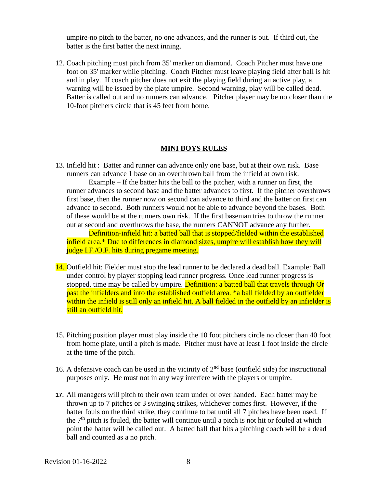umpire-no pitch to the batter, no one advances, and the runner is out. If third out, the batter is the first batter the next inning.

12. Coach pitching must pitch from 35' marker on diamond. Coach Pitcher must have one foot on 35' marker while pitching. Coach Pitcher must leave playing field after ball is hit and in play. If coach pitcher does not exit the playing field during an active play, a warning will be issued by the plate umpire. Second warning, play will be called dead. Batter is called out and no runners can advance. Pitcher player may be no closer than the 10-foot pitchers circle that is 45 feet from home.

#### **MINI BOYS RULES**

13. Infield hit : Batter and runner can advance only one base, but at their own risk. Base runners can advance 1 base on an overthrown ball from the infield at own risk.

Example – If the batter hits the ball to the pitcher, with a runner on first, the runner advances to second base and the batter advances to first. If the pitcher overthrows first base, then the runner now on second can advance to third and the batter on first can advance to second. Both runners would not be able to advance beyond the bases. Both of these would be at the runners own risk. If the first baseman tries to throw the runner out at second and overthrows the base, the runners CANNOT advance any further.

Definition-infield hit: a batted ball that is stopped/fielded within the established infield area.\* Due to differences in diamond sizes, umpire will establish how they will judge I.F./O.F. hits during pregame meeting.

- 14. Outfield hit: Fielder must stop the lead runner to be declared a dead ball. Example: Ball under control by player stopping lead runner progress. Once lead runner progress is stopped, time may be called by umpire. Definition: a batted ball that travels through Or past the infielders and into the established outfield area. \*a ball fielded by an outfielder within the infield is still only an infield hit. A ball fielded in the outfield by an infielder is still an outfield hit.
- 15. Pitching position player must play inside the 10 foot pitchers circle no closer than 40 foot from home plate, until a pitch is made. Pitcher must have at least 1 foot inside the circle at the time of the pitch.
- 16. A defensive coach can be used in the vicinity of  $2<sup>nd</sup>$  base (outfield side) for instructional purposes only. He must not in any way interfere with the players or umpire.
- **17.** All managers will pitch to their own team under or over handed. Each batter may be thrown up to 7 pitches or 3 swinging strikes, whichever comes first. However, if the batter fouls on the third strike, they continue to bat until all 7 pitches have been used. If the  $7<sup>th</sup>$  pitch is fouled, the batter will continue until a pitch is not hit or fouled at which point the batter will be called out. A batted ball that hits a pitching coach will be a dead ball and counted as a no pitch.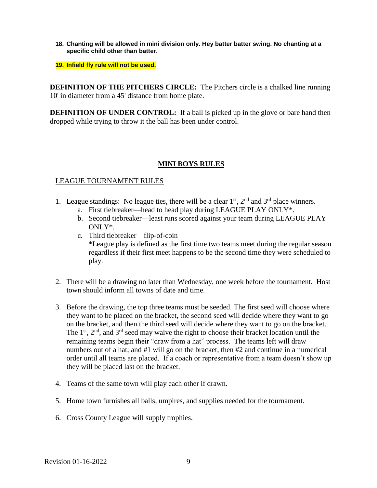- **18. Chanting will be allowed in mini division only. Hey batter batter swing. No chanting at a specific child other than batter.**
- **19. Infield fly rule will not be used.**

**DEFINITION OF THE PITCHERS CIRCLE:** The Pitchers circle is a chalked line running 10' in diameter from a 45' distance from home plate.

**DEFINITION OF UNDER CONTROL:** If a ball is picked up in the glove or bare hand then dropped while trying to throw it the ball has been under control.

### **MINI BOYS RULES**

#### LEAGUE TOURNAMENT RULES

- 1. League standings: No league ties, there will be a clear  $1<sup>st</sup>$ ,  $2<sup>nd</sup>$  and  $3<sup>rd</sup>$  place winners.
	- a. First tiebreaker—head to head play during LEAGUE PLAY ONLY\*.
	- b. Second tiebreaker—least runs scored against your team during LEAGUE PLAY ONLY\*.
	- c. Third tiebreaker flip-of-coin \*League play is defined as the first time two teams meet during the regular season regardless if their first meet happens to be the second time they were scheduled to play.
- 2. There will be a drawing no later than Wednesday, one week before the tournament. Host town should inform all towns of date and time.
- 3. Before the drawing, the top three teams must be seeded. The first seed will choose where they want to be placed on the bracket, the second seed will decide where they want to go on the bracket, and then the third seed will decide where they want to go on the bracket. The  $1<sup>st</sup>$ ,  $2<sup>nd</sup>$ , and  $3<sup>rd</sup>$  seed may waive the right to choose their bracket location until the remaining teams begin their "draw from a hat" process. The teams left will draw numbers out of a hat; and #1 will go on the bracket, then #2 and continue in a numerical order until all teams are placed. If a coach or representative from a team doesn't show up they will be placed last on the bracket.
- 4. Teams of the same town will play each other if drawn.
- 5. Home town furnishes all balls, umpires, and supplies needed for the tournament.
- 6. Cross County League will supply trophies.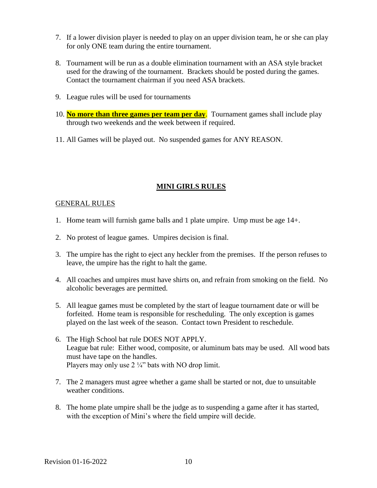- 7. If a lower division player is needed to play on an upper division team, he or she can play for only ONE team during the entire tournament.
- 8. Tournament will be run as a double elimination tournament with an ASA style bracket used for the drawing of the tournament. Brackets should be posted during the games. Contact the tournament chairman if you need ASA brackets.
- 9. League rules will be used for tournaments
- 10. **No more than three games per team per day**. Tournament games shall include play through two weekends and the week between if required.
- 11. All Games will be played out. No suspended games for ANY REASON.

## **MINI GIRLS RULES**

### GENERAL RULES

- 1. Home team will furnish game balls and 1 plate umpire. Ump must be age 14+.
- 2. No protest of league games. Umpires decision is final.
- 3. The umpire has the right to eject any heckler from the premises. If the person refuses to leave, the umpire has the right to halt the game.
- 4. All coaches and umpires must have shirts on, and refrain from smoking on the field. No alcoholic beverages are permitted.
- 5. All league games must be completed by the start of league tournament date or will be forfeited. Home team is responsible for rescheduling. The only exception is games played on the last week of the season. Contact town President to reschedule.
- 6. The High School bat rule DOES NOT APPLY. League bat rule: Either wood, composite, or aluminum bats may be used. All wood bats must have tape on the handles. Players may only use  $2 \frac{1}{4}$ " bats with NO drop limit.
- 7. The 2 managers must agree whether a game shall be started or not, due to unsuitable weather conditions.
- 8. The home plate umpire shall be the judge as to suspending a game after it has started, with the exception of Mini's where the field umpire will decide.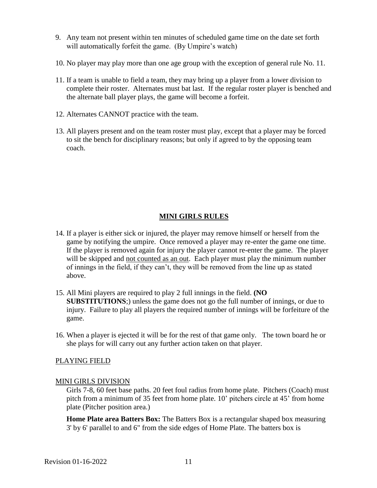- 9. Any team not present within ten minutes of scheduled game time on the date set forth will automatically forfeit the game. (By Umpire's watch)
- 10. No player may play more than one age group with the exception of general rule No. 11.
- 11. If a team is unable to field a team, they may bring up a player from a lower division to complete their roster. Alternates must bat last. If the regular roster player is benched and the alternate ball player plays, the game will become a forfeit.
- 12. Alternates CANNOT practice with the team.
- 13. All players present and on the team roster must play, except that a player may be forced to sit the bench for disciplinary reasons; but only if agreed to by the opposing team coach.

## **MINI GIRLS RULES**

- 14. If a player is either sick or injured, the player may remove himself or herself from the game by notifying the umpire. Once removed a player may re-enter the game one time. If the player is removed again for injury the player cannot re-enter the game. The player will be skipped and not counted as an out. Each player must play the minimum number of innings in the field, if they can't, they will be removed from the line up as stated above.
- 15. All Mini players are required to play 2 full innings in the field. **(NO SUBSTITUTIONS**;) unless the game does not go the full number of innings, or due to injury. Failure to play all players the required number of innings will be forfeiture of the game.
- 16. When a player is ejected it will be for the rest of that game only. The town board he or she plays for will carry out any further action taken on that player.

#### PLAYING FIELD

#### MINI GIRLS DIVISION

Girls 7-8, 60 feet base paths. 20 feet foul radius from home plate. Pitchers (Coach) must pitch from a minimum of 35 feet from home plate. 10' pitchers circle at 45' from home plate (Pitcher position area.)

**Home Plate area Batters Box:** The Batters Box is a rectangular shaped box measuring 3' by 6' parallel to and 6" from the side edges of Home Plate. The batters box is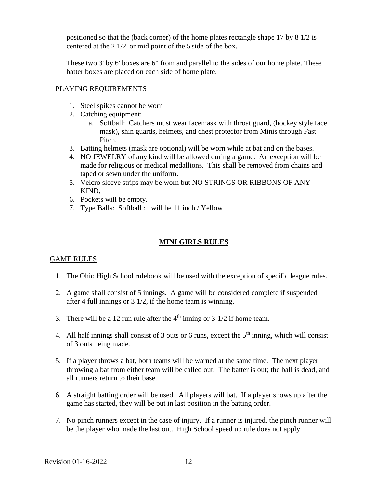positioned so that the (back corner) of the home plates rectangle shape 17 by 8 1/2 is centered at the 2 1/2' or mid point of the 5'side of the box.

These two 3' by 6' boxes are 6" from and parallel to the sides of our home plate. These batter boxes are placed on each side of home plate.

### PLAYING REQUIREMENTS

- 1. Steel spikes cannot be worn
- 2. Catching equipment:
	- a. Softball: Catchers must wear facemask with throat guard, (hockey style face mask), shin guards, helmets, and chest protector from Minis through Fast Pitch.
- 3. Batting helmets (mask are optional) will be worn while at bat and on the bases.
- 4. NO JEWELRY of any kind will be allowed during a game. An exception will be made for religious or medical medallions. This shall be removed from chains and taped or sewn under the uniform.
- 5. Velcro sleeve strips may be worn but NO STRINGS OR RIBBONS OF ANY KIND**.**
- 6. Pockets will be empty.
- 7. Type Balls: Softball : will be 11 inch / Yellow

# **MINI GIRLS RULES**

## GAME RULES

- 1. The Ohio High School rulebook will be used with the exception of specific league rules.
- 2. A game shall consist of 5 innings. A game will be considered complete if suspended after 4 full innings or 3 1/2, if the home team is winning.
- 3. There will be a 12 run rule after the  $4<sup>th</sup>$  inning or 3-1/2 if home team.
- 4. All half innings shall consist of 3 outs or 6 runs, except the  $5<sup>th</sup>$  inning, which will consist of 3 outs being made.
- 5. If a player throws a bat, both teams will be warned at the same time. The next player throwing a bat from either team will be called out. The batter is out; the ball is dead, and all runners return to their base.
- 6. A straight batting order will be used. All players will bat. If a player shows up after the game has started, they will be put in last position in the batting order.
- 7. No pinch runners except in the case of injury. If a runner is injured, the pinch runner will be the player who made the last out. High School speed up rule does not apply.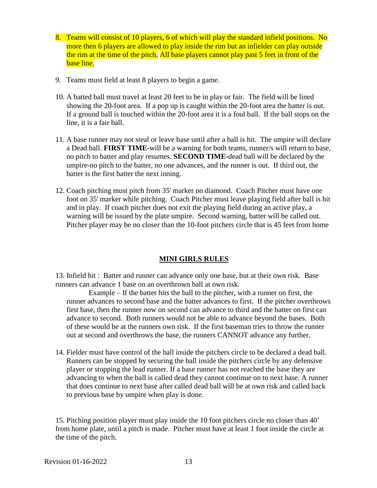- 8. Teams will consist of 10 players, 6 of which will play the standard infield positions. No more then 6 players are allowed to play inside the rim but an infielder can play outside the rim at the time of the pitch. All base players cannot play past 5 feet in front of the base line.
- 9. Teams must field at least 8 players to begin a game.
- 10. A batted ball must travel at least 20 feet to be in play or fair. The field will be lined showing the 20-foot area. If a pop up is caught within the 20-foot area the batter is out. If a ground ball is touched within the 20-foot area it is a foul ball. If the ball stops on the line, it is a fair ball.
- 11. A base runner may not steal or leave base until after a ball is hit. The umpire will declare a Dead ball. **FIRST TIME-**will be a warning for both teams, runner/s will return to base, no pitch to batter and play resumes. **SECOND TIME-**dead ball will be declared by the umpire-no pitch to the batter, no one advances, and the runner is out. If third out, the batter is the first batter the next inning.
- 12. Coach pitching must pitch from 35' marker on diamond. Coach Pitcher must have one foot on 35' marker while pitching. Coach Pitcher must leave playing field after ball is hit and in play. If coach pitcher does not exit the playing field during an active play, a warning will be issued by the plate umpire. Second warning, batter will be called out. Pitcher player may be no closer than the 10-foot pitchers circle that is 45 feet from home

#### **MINI GIRLS RULES**

13. Infield hit : Batter and runner can advance only one base, but at their own risk. Base runners can advance 1 base on an overthrown ball at own risk.

Example – If the batter hits the ball to the pitcher, with a runner on first, the runner advances to second base and the batter advances to first. If the pitcher overthrows first base, then the runner now on second can advance to third and the batter on first can advance to second. Both runners would not be able to advance beyond the bases. Both of these would be at the runners own risk. If the first baseman tries to throw the runner out at second and overthrows the base, the runners CANNOT advance any further.

14. Fielder must have control of the ball inside the pitchers circle to be declared a dead ball. Runners can be stopped by securing the ball inside the pitchers circle by any defensive player or stopping the lead runner. If a base runner has not reached the base they are advancing to when the ball is called dead they cannot continue on to next base. A runner that does continue to next base after called dead ball will be at own risk and called back to previous base by umpire when play is done.

15. Pitching position player must play inside the 10 foot pitchers circle no closer than 40' from home plate, until a pitch is made. Pitcher must have at least 1 foot inside the circle at the time of the pitch.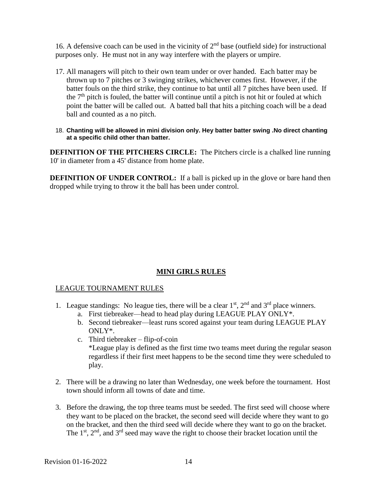16. A defensive coach can be used in the vicinity of  $2<sup>nd</sup>$  base (outfield side) for instructional purposes only. He must not in any way interfere with the players or umpire.

- 17. All managers will pitch to their own team under or over handed. Each batter may be thrown up to 7 pitches or 3 swinging strikes, whichever comes first. However, if the batter fouls on the third strike, they continue to bat until all 7 pitches have been used. If the  $7<sup>th</sup>$  pitch is fouled, the batter will continue until a pitch is not hit or fouled at which point the batter will be called out. A batted ball that hits a pitching coach will be a dead ball and counted as a no pitch.
- 18. **Chanting will be allowed in mini division only. Hey batter batter swing .No direct chanting at a specific child other than batter.**

**DEFINITION OF THE PITCHERS CIRCLE:** The Pitchers circle is a chalked line running 10' in diameter from a 45' distance from home plate.

**DEFINITION OF UNDER CONTROL:** If a ball is picked up in the glove or bare hand then dropped while trying to throw it the ball has been under control.

## **MINI GIRLS RULES**

## LEAGUE TOURNAMENT RULES

- 1. League standings: No league ties, there will be a clear  $1<sup>st</sup>$ ,  $2<sup>nd</sup>$  and  $3<sup>rd</sup>$  place winners.
	- a. First tiebreaker—head to head play during LEAGUE PLAY ONLY\*.
	- b. Second tiebreaker—least runs scored against your team during LEAGUE PLAY ONLY\*.
	- c. Third tiebreaker flip-of-coin \*League play is defined as the first time two teams meet during the regular season regardless if their first meet happens to be the second time they were scheduled to play.
- 2. There will be a drawing no later than Wednesday, one week before the tournament. Host town should inform all towns of date and time.
- 3. Before the drawing, the top three teams must be seeded. The first seed will choose where they want to be placed on the bracket, the second seed will decide where they want to go on the bracket, and then the third seed will decide where they want to go on the bracket. The  $1<sup>st</sup>$ ,  $2<sup>nd</sup>$ , and  $3<sup>rd</sup>$  seed may wave the right to choose their bracket location until the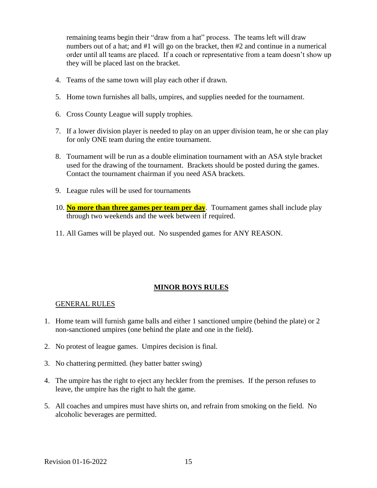remaining teams begin their "draw from a hat" process. The teams left will draw numbers out of a hat; and #1 will go on the bracket, then #2 and continue in a numerical order until all teams are placed. If a coach or representative from a team doesn't show up they will be placed last on the bracket.

- 4. Teams of the same town will play each other if drawn.
- 5. Home town furnishes all balls, umpires, and supplies needed for the tournament.
- 6. Cross County League will supply trophies.
- 7. If a lower division player is needed to play on an upper division team, he or she can play for only ONE team during the entire tournament.
- 8. Tournament will be run as a double elimination tournament with an ASA style bracket used for the drawing of the tournament. Brackets should be posted during the games. Contact the tournament chairman if you need ASA brackets.
- 9. League rules will be used for tournaments
- 10. **No more than three games per team per day**. Tournament games shall include play through two weekends and the week between if required.
- 11. All Games will be played out. No suspended games for ANY REASON.

#### **MINOR BOYS RULES**

#### GENERAL RULES

- 1. Home team will furnish game balls and either 1 sanctioned umpire (behind the plate) or 2 non-sanctioned umpires (one behind the plate and one in the field).
- 2. No protest of league games. Umpires decision is final.
- 3. No chattering permitted. (hey batter batter swing)
- 4. The umpire has the right to eject any heckler from the premises. If the person refuses to leave, the umpire has the right to halt the game.
- 5. All coaches and umpires must have shirts on, and refrain from smoking on the field. No alcoholic beverages are permitted.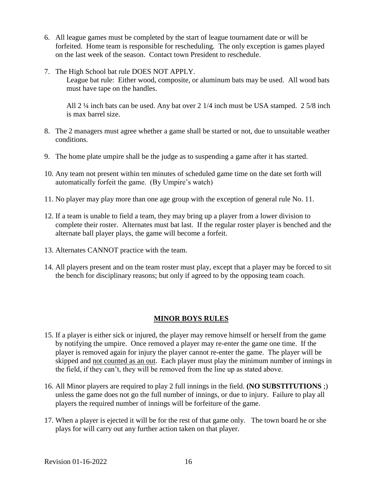- 6. All league games must be completed by the start of league tournament date or will be forfeited. Home team is responsible for rescheduling. The only exception is games played on the last week of the season. Contact town President to reschedule.
- 7. The High School bat rule DOES NOT APPLY.

League bat rule: Either wood, composite, or aluminum bats may be used. All wood bats must have tape on the handles.

All 2 ¼ inch bats can be used. Any bat over 2 1/4 inch must be USA stamped. 2 5/8 inch is max barrel size.

- 8. The 2 managers must agree whether a game shall be started or not, due to unsuitable weather conditions.
- 9. The home plate umpire shall be the judge as to suspending a game after it has started.
- 10. Any team not present within ten minutes of scheduled game time on the date set forth will automatically forfeit the game. (By Umpire's watch)
- 11. No player may play more than one age group with the exception of general rule No. 11.
- 12. If a team is unable to field a team, they may bring up a player from a lower division to complete their roster. Alternates must bat last. If the regular roster player is benched and the alternate ball player plays, the game will become a forfeit.
- 13. Alternates CANNOT practice with the team.
- 14. All players present and on the team roster must play, except that a player may be forced to sit the bench for disciplinary reasons; but only if agreed to by the opposing team coach.

#### **MINOR BOYS RULES**

- 15. If a player is either sick or injured, the player may remove himself or herself from the game by notifying the umpire. Once removed a player may re-enter the game one time. If the player is removed again for injury the player cannot re-enter the game. The player will be skipped and not counted as an out. Each player must play the minimum number of innings in the field, if they can't, they will be removed from the line up as stated above.
- 16. All Minor players are required to play 2 full innings in the field. **(NO SUBSTITUTIONS** ;) unless the game does not go the full number of innings, or due to injury. Failure to play all players the required number of innings will be forfeiture of the game.
- 17. When a player is ejected it will be for the rest of that game only. The town board he or she plays for will carry out any further action taken on that player.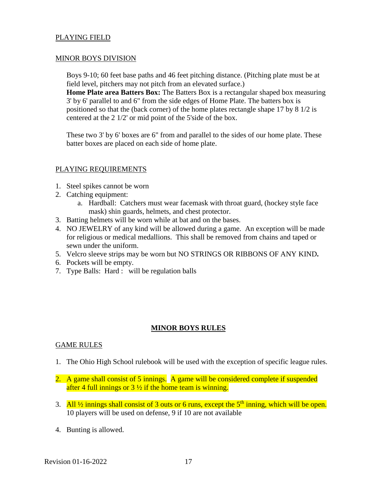#### PLAYING FIELD

#### MINOR BOYS DIVISION

Boys 9-10; 60 feet base paths and 46 feet pitching distance. (Pitching plate must be at field level, pitchers may not pitch from an elevated surface.)

**Home Plate area Batters Box:** The Batters Box is a rectangular shaped box measuring 3' by 6' parallel to and 6" from the side edges of Home Plate. The batters box is positioned so that the (back corner) of the home plates rectangle shape 17 by 8 1/2 is centered at the 2 1/2' or mid point of the 5'side of the box.

These two 3' by 6' boxes are 6" from and parallel to the sides of our home plate. These batter boxes are placed on each side of home plate.

### PLAYING REQUIREMENTS

- 1. Steel spikes cannot be worn
- 2. Catching equipment:
	- a. Hardball: Catchers must wear facemask with throat guard, (hockey style face mask) shin guards, helmets, and chest protector.
- 3. Batting helmets will be worn while at bat and on the bases.
- 4. NO JEWELRY of any kind will be allowed during a game. An exception will be made for religious or medical medallions. This shall be removed from chains and taped or sewn under the uniform.
- 5. Velcro sleeve strips may be worn but NO STRINGS OR RIBBONS OF ANY KIND**.**
- 6. Pockets will be empty.
- 7. Type Balls: Hard : will be regulation balls

## **MINOR BOYS RULES**

#### GAME RULES

- 1. The Ohio High School rulebook will be used with the exception of specific league rules.
- 2. A game shall consist of 5 innings. A game will be considered complete if suspended after 4 full innings or  $3\frac{1}{2}$  if the home team is winning.
- 3. All  $\frac{1}{2}$  innings shall consist of 3 outs or 6 runs, except the 5<sup>th</sup> inning, which will be open. 10 players will be used on defense, 9 if 10 are not available
- 4. Bunting is allowed.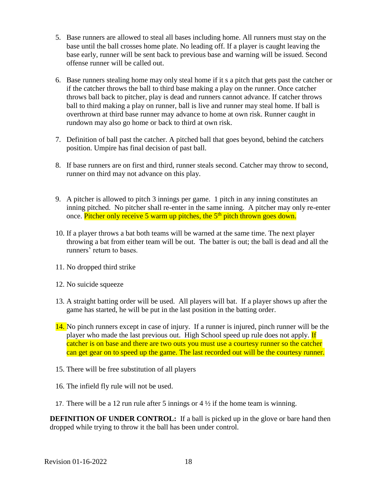- 5. Base runners are allowed to steal all bases including home. All runners must stay on the base until the ball crosses home plate. No leading off. If a player is caught leaving the base early, runner will be sent back to previous base and warning will be issued. Second offense runner will be called out.
- 6. Base runners stealing home may only steal home if it s a pitch that gets past the catcher or if the catcher throws the ball to third base making a play on the runner. Once catcher throws ball back to pitcher, play is dead and runners cannot advance. If catcher throws ball to third making a play on runner, ball is live and runner may steal home. If ball is overthrown at third base runner may advance to home at own risk. Runner caught in rundown may also go home or back to third at own risk.
- 7. Definition of ball past the catcher. A pitched ball that goes beyond, behind the catchers position. Umpire has final decision of past ball.
- 8. If base runners are on first and third, runner steals second. Catcher may throw to second, runner on third may not advance on this play.
- 9. A pitcher is allowed to pitch 3 innings per game. 1 pitch in any inning constitutes an inning pitched. No pitcher shall re-enter in the same inning. A pitcher may only re-enter once. Pitcher only receive 5 warm up pitches, the 5<sup>th</sup> pitch thrown goes down.
- 10. If a player throws a bat both teams will be warned at the same time. The next player throwing a bat from either team will be out. The batter is out; the ball is dead and all the runners' return to bases.
- 11. No dropped third strike
- 12. No suicide squeeze
- 13. A straight batting order will be used. All players will bat. If a player shows up after the game has started, he will be put in the last position in the batting order.
- 14. No pinch runners except in case of injury. If a runner is injured, pinch runner will be the player who made the last previous out. High School speed up rule does not apply. If catcher is on base and there are two outs you must use a courtesy runner so the catcher can get gear on to speed up the game. The last recorded out will be the courtesy runner.
- 15. There will be free substitution of all players
- 16. The infield fly rule will not be used.
- 17. There will be a 12 run rule after 5 innings or  $4\frac{1}{2}$  if the home team is winning.

**DEFINITION OF UNDER CONTROL:** If a ball is picked up in the glove or bare hand then dropped while trying to throw it the ball has been under control.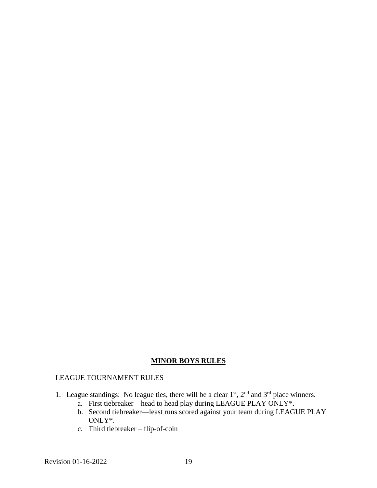# **MINOR BOYS RULES**

### LEAGUE TOURNAMENT RULES

- 1. League standings: No league ties, there will be a clear  $1<sup>st</sup>$ ,  $2<sup>nd</sup>$  and  $3<sup>rd</sup>$  place winners.
	- a. First tiebreaker—head to head play during LEAGUE PLAY ONLY\*.
	- b. Second tiebreaker—least runs scored against your team during LEAGUE PLAY ONLY\*.
	- c. Third tiebreaker flip-of-coin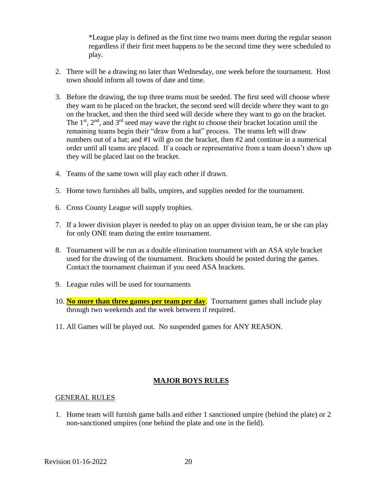\*League play is defined as the first time two teams meet during the regular season regardless if their first meet happens to be the second time they were scheduled to play.

- 2. There will be a drawing no later than Wednesday, one week before the tournament. Host town should inform all towns of date and time.
- 3. Before the drawing, the top three teams must be seeded. The first seed will choose where they want to be placed on the bracket, the second seed will decide where they want to go on the bracket, and then the third seed will decide where they want to go on the bracket. The  $1<sup>st</sup>$ ,  $2<sup>nd</sup>$ , and  $3<sup>rd</sup>$  seed may wave the right to choose their bracket location until the remaining teams begin their "draw from a hat" process. The teams left will draw numbers out of a hat; and #1 will go on the bracket, then #2 and continue in a numerical order until all teams are placed. If a coach or representative from a team doesn't show up they will be placed last on the bracket.
- 4. Teams of the same town will play each other if drawn.
- 5. Home town furnishes all balls, umpires, and supplies needed for the tournament.
- 6. Cross County League will supply trophies.
- 7. If a lower division player is needed to play on an upper division team, he or she can play for only ONE team during the entire tournament.
- 8. Tournament will be run as a double elimination tournament with an ASA style bracket used for the drawing of the tournament. Brackets should be posted during the games. Contact the tournament chairman if you need ASA brackets.
- 9. League rules will be used for tournaments
- 10. **No more than three games per team per day**. Tournament games shall include play through two weekends and the week between if required.
- 11. All Games will be played out. No suspended games for ANY REASON.

# **MAJOR BOYS RULES**

#### GENERAL RULES

1. Home team will furnish game balls and either 1 sanctioned umpire (behind the plate) or 2 non-sanctioned umpires (one behind the plate and one in the field).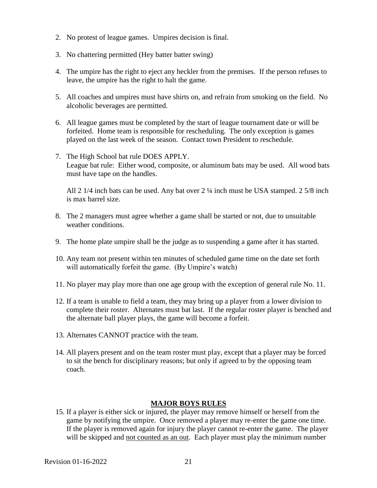- 2. No protest of league games. Umpires decision is final.
- 3. No chattering permitted (Hey batter batter swing)
- 4. The umpire has the right to eject any heckler from the premises. If the person refuses to leave, the umpire has the right to halt the game.
- 5. All coaches and umpires must have shirts on, and refrain from smoking on the field. No alcoholic beverages are permitted.
- 6. All league games must be completed by the start of league tournament date or will be forfeited. Home team is responsible for rescheduling. The only exception is games played on the last week of the season. Contact town President to reschedule.
- 7. The High School bat rule DOES APPLY. League bat rule: Either wood, composite, or aluminum bats may be used. All wood bats must have tape on the handles.

All 2 1/4 inch bats can be used. Any bat over 2 ¼ inch must be USA stamped. 2 5/8 inch is max barrel size.

- 8. The 2 managers must agree whether a game shall be started or not, due to unsuitable weather conditions.
- 9. The home plate umpire shall be the judge as to suspending a game after it has started.
- 10. Any team not present within ten minutes of scheduled game time on the date set forth will automatically forfeit the game. (By Umpire's watch)
- 11. No player may play more than one age group with the exception of general rule No. 11.
- 12. If a team is unable to field a team, they may bring up a player from a lower division to complete their roster. Alternates must bat last. If the regular roster player is benched and the alternate ball player plays, the game will become a forfeit.
- 13. Alternates CANNOT practice with the team.
- 14. All players present and on the team roster must play, except that a player may be forced to sit the bench for disciplinary reasons; but only if agreed to by the opposing team coach.

#### **MAJOR BOYS RULES**

15. If a player is either sick or injured, the player may remove himself or herself from the game by notifying the umpire. Once removed a player may re-enter the game one time. If the player is removed again for injury the player cannot re-enter the game. The player will be skipped and not counted as an out. Each player must play the minimum number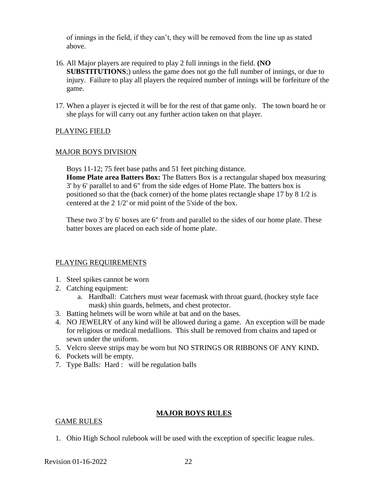of innings in the field, if they can't, they will be removed from the line up as stated above.

- 16. All Major players are required to play 2 full innings in the field. **(NO SUBSTITUTIONS**;) unless the game does not go the full number of innings, or due to injury. Failure to play all players the required number of innings will be forfeiture of the game.
- 17. When a player is ejected it will be for the rest of that game only. The town board he or she plays for will carry out any further action taken on that player.

### PLAYING FIELD

#### MAJOR BOYS DIVISION

Boys 11-12; 75 feet base paths and 51 feet pitching distance.

**Home Plate area Batters Box:** The Batters Box is a rectangular shaped box measuring 3' by 6' parallel to and 6" from the side edges of Home Plate. The batters box is positioned so that the (back corner) of the home plates rectangle shape 17 by 8 1/2 is centered at the 2 1/2' or mid point of the 5'side of the box.

These two 3' by 6' boxes are 6" from and parallel to the sides of our home plate. These batter boxes are placed on each side of home plate.

#### PLAYING REQUIREMENTS

- 1. Steel spikes cannot be worn
- 2. Catching equipment:
	- a. Hardball: Catchers must wear facemask with throat guard, (hockey style face mask) shin guards, helmets, and chest protector.
- 3. Batting helmets will be worn while at bat and on the bases.
- 4. NO JEWELRY of any kind will be allowed during a game. An exception will be made for religious or medical medallions. This shall be removed from chains and taped or sewn under the uniform.
- 5. Velcro sleeve strips may be worn but NO STRINGS OR RIBBONS OF ANY KIND**.**
- 6. Pockets will be empty.
- 7. Type Balls: Hard : will be regulation balls

## **MAJOR BOYS RULES**

#### GAME RULES

1. Ohio High School rulebook will be used with the exception of specific league rules.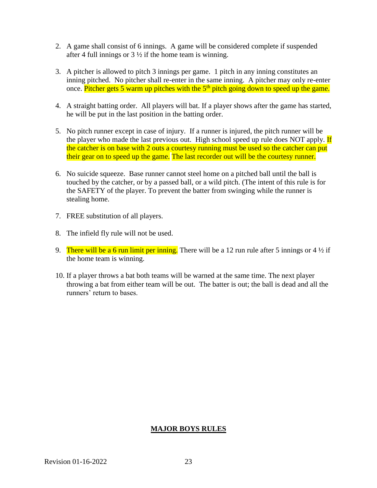- 2. A game shall consist of 6 innings. A game will be considered complete if suspended after 4 full innings or  $3\frac{1}{2}$  if the home team is winning.
- 3. A pitcher is allowed to pitch 3 innings per game. 1 pitch in any inning constitutes an inning pitched. No pitcher shall re-enter in the same inning. A pitcher may only re-enter once. Pitcher gets 5 warm up pitches with the  $5<sup>th</sup>$  pitch going down to speed up the game.
- 4. A straight batting order. All players will bat. If a player shows after the game has started, he will be put in the last position in the batting order.
- 5. No pitch runner except in case of injury. If a runner is injured, the pitch runner will be the player who made the last previous out. High school speed up rule does NOT apply. If the catcher is on base with 2 outs a courtesy running must be used so the catcher can put their gear on to speed up the game. The last recorder out will be the courtesy runner.
- 6. No suicide squeeze. Base runner cannot steel home on a pitched ball until the ball is touched by the catcher, or by a passed ball, or a wild pitch. (The intent of this rule is for the SAFETY of the player. To prevent the batter from swinging while the runner is stealing home.
- 7. FREE substitution of all players.
- 8. The infield fly rule will not be used.
- 9. There will be a 6 run limit per inning. There will be a 12 run rule after 5 innings or  $4\frac{1}{2}$  if the home team is winning.
- 10. If a player throws a bat both teams will be warned at the same time. The next player throwing a bat from either team will be out. The batter is out; the ball is dead and all the runners' return to bases.

## **MAJOR BOYS RULES**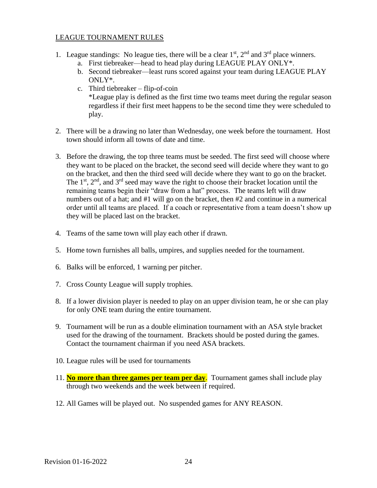### LEAGUE TOURNAMENT RULES

- 1. League standings: No league ties, there will be a clear  $1<sup>st</sup>$ ,  $2<sup>nd</sup>$  and  $3<sup>rd</sup>$  place winners.
	- a. First tiebreaker—head to head play during LEAGUE PLAY ONLY\*.
	- b. Second tiebreaker—least runs scored against your team during LEAGUE PLAY ONLY\*.
	- c. Third tiebreaker flip-of-coin \*League play is defined as the first time two teams meet during the regular season regardless if their first meet happens to be the second time they were scheduled to play.
- 2. There will be a drawing no later than Wednesday, one week before the tournament. Host town should inform all towns of date and time.
- 3. Before the drawing, the top three teams must be seeded. The first seed will choose where they want to be placed on the bracket, the second seed will decide where they want to go on the bracket, and then the third seed will decide where they want to go on the bracket. The  $1<sup>st</sup>$ ,  $2<sup>nd</sup>$ , and  $3<sup>rd</sup>$  seed may wave the right to choose their bracket location until the remaining teams begin their "draw from a hat" process. The teams left will draw numbers out of a hat; and #1 will go on the bracket, then #2 and continue in a numerical order until all teams are placed. If a coach or representative from a team doesn't show up they will be placed last on the bracket.
- 4. Teams of the same town will play each other if drawn.
- 5. Home town furnishes all balls, umpires, and supplies needed for the tournament.
- 6. Balks will be enforced, 1 warning per pitcher.
- 7. Cross County League will supply trophies.
- 8. If a lower division player is needed to play on an upper division team, he or she can play for only ONE team during the entire tournament.
- 9. Tournament will be run as a double elimination tournament with an ASA style bracket used for the drawing of the tournament. Brackets should be posted during the games. Contact the tournament chairman if you need ASA brackets.
- 10. League rules will be used for tournaments
- 11. **No more than three games per team per day**. Tournament games shall include play through two weekends and the week between if required.
- 12. All Games will be played out. No suspended games for ANY REASON.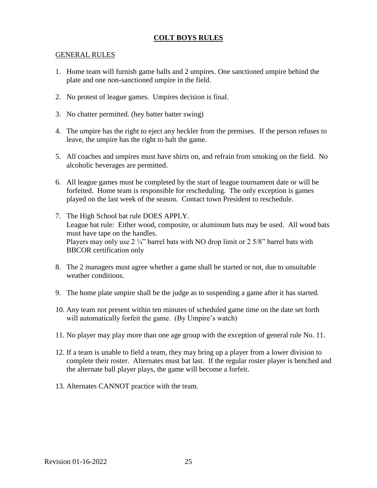#### GENERAL RULES

- 1. Home team will furnish game balls and 2 umpires. One sanctioned umpire behind the plate and one non-sanctioned umpire in the field.
- 2. No protest of league games. Umpires decision is final.
- 3. No chatter permitted. (hey batter batter swing)
- 4. The umpire has the right to eject any heckler from the premises. If the person refuses to leave, the umpire has the right to halt the game.
- 5. All coaches and umpires must have shirts on, and refrain from smoking on the field. No alcoholic beverages are permitted.
- 6. All league games must be completed by the start of league tournament date or will be forfeited. Home team is responsible for rescheduling. The only exception is games played on the last week of the season. Contact town President to reschedule.
- 7. The High School bat rule DOES APPLY. League bat rule: Either wood, composite, or aluminum bats may be used. All wood bats must have tape on the handles. Players may only use  $2 \frac{1}{4}$ " barrel bats with NO drop limit or  $2 \frac{5}{8}$ " barrel bats with BBCOR certification only
- 8. The 2 managers must agree whether a game shall be started or not, due to unsuitable weather conditions.
- 9. The home plate umpire shall be the judge as to suspending a game after it has started.
- 10. Any team not present within ten minutes of scheduled game time on the date set forth will automatically forfeit the game. (By Umpire's watch)
- 11. No player may play more than one age group with the exception of general rule No. 11.
- 12. If a team is unable to field a team, they may bring up a player from a lower division to complete their roster. Alternates must bat last. If the regular roster player is benched and the alternate ball player plays, the game will become a forfeit.
- 13. Alternates CANNOT practice with the team.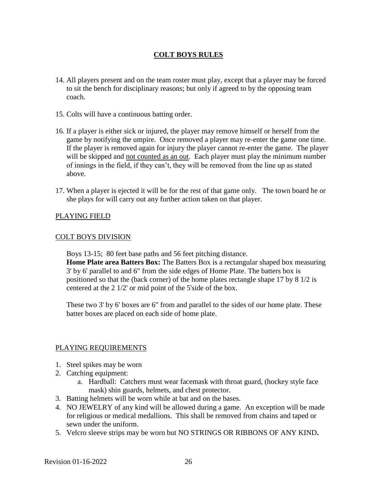- 14. All players present and on the team roster must play, except that a player may be forced to sit the bench for disciplinary reasons; but only if agreed to by the opposing team coach.
- 15. Colts will have a continuous batting order.
- 16. If a player is either sick or injured, the player may remove himself or herself from the game by notifying the umpire. Once removed a player may re-enter the game one time. If the player is removed again for injury the player cannot re-enter the game. The player will be skipped and not counted as an out. Each player must play the minimum number of innings in the field, if they can't, they will be removed from the line up as stated above.
- 17. When a player is ejected it will be for the rest of that game only. The town board he or she plays for will carry out any further action taken on that player.

### PLAYING FIELD

#### COLT BOYS DIVISION

Boys 13-15; 80 feet base paths and 56 feet pitching distance. **Home Plate area Batters Box:** The Batters Box is a rectangular shaped box measuring 3' by 6' parallel to and 6" from the side edges of Home Plate. The batters box is positioned so that the (back corner) of the home plates rectangle shape 17 by 8 1/2 is centered at the 2 1/2' or mid point of the 5'side of the box.

These two 3' by 6' boxes are 6" from and parallel to the sides of our home plate. These batter boxes are placed on each side of home plate.

#### PLAYING REQUIREMENTS

- 1. Steel spikes may be worn
- 2. Catching equipment:
	- a. Hardball: Catchers must wear facemask with throat guard, (hockey style face mask) shin guards, helmets, and chest protector.
- 3. Batting helmets will be worn while at bat and on the bases.
- 4. NO JEWELRY of any kind will be allowed during a game. An exception will be made for religious or medical medallions. This shall be removed from chains and taped or sewn under the uniform.
- 5. Velcro sleeve strips may be worn but NO STRINGS OR RIBBONS OF ANY KIND**.**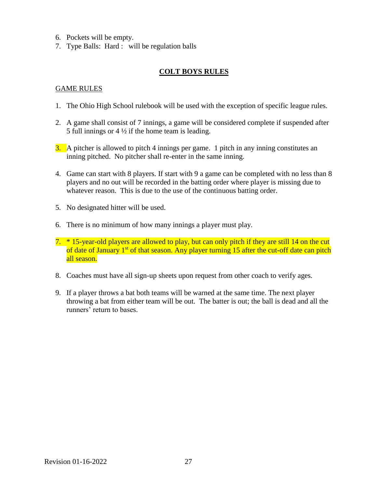- 6. Pockets will be empty.
- 7. Type Balls: Hard : will be regulation balls

#### GAME RULES

- 1. The Ohio High School rulebook will be used with the exception of specific league rules.
- 2. A game shall consist of 7 innings, a game will be considered complete if suspended after 5 full innings or  $4\frac{1}{2}$  if the home team is leading.
- 3. A pitcher is allowed to pitch 4 innings per game. 1 pitch in any inning constitutes an inning pitched. No pitcher shall re-enter in the same inning.
- 4. Game can start with 8 players. If start with 9 a game can be completed with no less than 8 players and no out will be recorded in the batting order where player is missing due to whatever reason. This is due to the use of the continuous batting order.
- 5. No designated hitter will be used.
- 6. There is no minimum of how many innings a player must play.
- 7. \* 15-year-old players are allowed to play, but can only pitch if they are still 14 on the cut of date of January 1<sup>st</sup> of that season. Any player turning 15 after the cut-off date can pitch all season.
- 8. Coaches must have all sign-up sheets upon request from other coach to verify ages.
- 9. If a player throws a bat both teams will be warned at the same time. The next player throwing a bat from either team will be out. The batter is out; the ball is dead and all the runners' return to bases.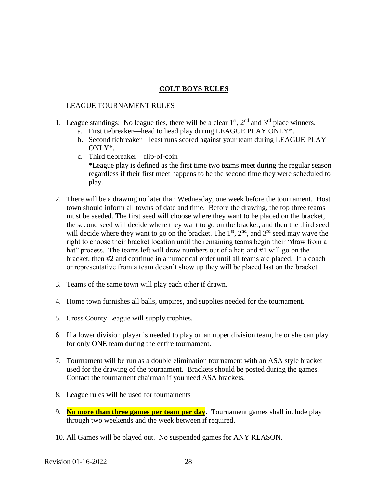### LEAGUE TOURNAMENT RULES

- 1. League standings: No league ties, there will be a clear  $1<sup>st</sup>$ ,  $2<sup>nd</sup>$  and  $3<sup>rd</sup>$  place winners.
	- a. First tiebreaker—head to head play during LEAGUE PLAY ONLY\*.
	- b. Second tiebreaker—least runs scored against your team during LEAGUE PLAY ONLY\*.
	- c. Third tiebreaker flip-of-coin \*League play is defined as the first time two teams meet during the regular season regardless if their first meet happens to be the second time they were scheduled to play.
- 2. There will be a drawing no later than Wednesday, one week before the tournament. Host town should inform all towns of date and time. Before the drawing, the top three teams must be seeded. The first seed will choose where they want to be placed on the bracket, the second seed will decide where they want to go on the bracket, and then the third seed will decide where they want to go on the bracket. The  $1<sup>st</sup>$ ,  $2<sup>nd</sup>$ , and  $3<sup>rd</sup>$  seed may wave the right to choose their bracket location until the remaining teams begin their "draw from a hat" process. The teams left will draw numbers out of a hat; and #1 will go on the bracket, then #2 and continue in a numerical order until all teams are placed. If a coach or representative from a team doesn't show up they will be placed last on the bracket.
- 3. Teams of the same town will play each other if drawn.
- 4. Home town furnishes all balls, umpires, and supplies needed for the tournament.
- 5. Cross County League will supply trophies.
- 6. If a lower division player is needed to play on an upper division team, he or she can play for only ONE team during the entire tournament.
- 7. Tournament will be run as a double elimination tournament with an ASA style bracket used for the drawing of the tournament. Brackets should be posted during the games. Contact the tournament chairman if you need ASA brackets.
- 8. League rules will be used for tournaments
- 9. **No more than three games per team per day**. Tournament games shall include play through two weekends and the week between if required.
- 10. All Games will be played out. No suspended games for ANY REASON.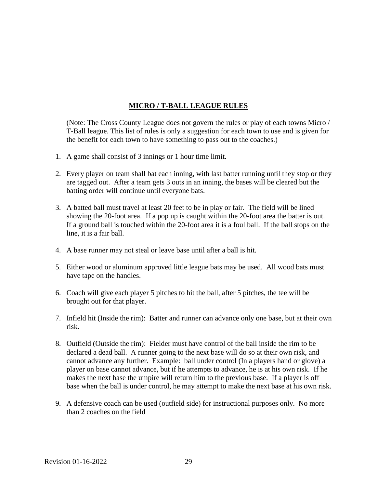# **MICRO / T-BALL LEAGUE RULES**

(Note: The Cross County League does not govern the rules or play of each towns Micro / T-Ball league. This list of rules is only a suggestion for each town to use and is given for the benefit for each town to have something to pass out to the coaches.)

- 1. A game shall consist of 3 innings or 1 hour time limit.
- 2. Every player on team shall bat each inning, with last batter running until they stop or they are tagged out. After a team gets 3 outs in an inning, the bases will be cleared but the batting order will continue until everyone bats.
- 3. A batted ball must travel at least 20 feet to be in play or fair. The field will be lined showing the 20-foot area. If a pop up is caught within the 20-foot area the batter is out. If a ground ball is touched within the 20-foot area it is a foul ball. If the ball stops on the line, it is a fair ball.
- 4. A base runner may not steal or leave base until after a ball is hit.
- 5. Either wood or aluminum approved little league bats may be used. All wood bats must have tape on the handles.
- 6. Coach will give each player 5 pitches to hit the ball, after 5 pitches, the tee will be brought out for that player.
- 7. Infield hit (Inside the rim): Batter and runner can advance only one base, but at their own risk.
- 8. Outfield (Outside the rim): Fielder must have control of the ball inside the rim to be declared a dead ball. A runner going to the next base will do so at their own risk, and cannot advance any further. Example: ball under control (In a players hand or glove) a player on base cannot advance, but if he attempts to advance, he is at his own risk. If he makes the next base the umpire will return him to the previous base. If a player is off base when the ball is under control, he may attempt to make the next base at his own risk.
- 9. A defensive coach can be used (outfield side) for instructional purposes only. No more than 2 coaches on the field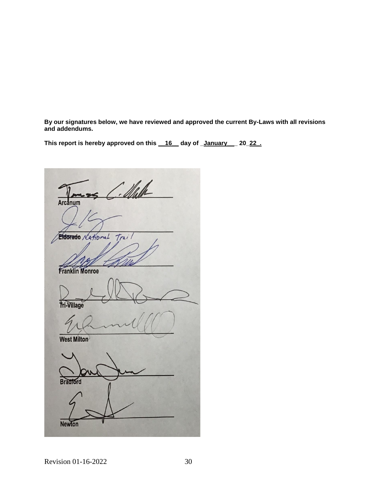**By our signatures below, we have reviewed and approved the current By-Laws with all revisions and addendums.** 

**This report is hereby approved on this \_\_16\_\_ day of \_January\_\_\_ 20\_22\_.**

 $\Delta$ rcanum **Eldorado**  $\frac{1}{\sqrt{2}}$ Eldorado *National* Trai  $N$ *p*<sub>p</sub>  $M$ **Franklin Monroe**  $\frac{1}{2}$ **West Milton Tri-Village**  $\mathcal{A}(\mathcal{U})$ **Bradford West Milton**  $\Box$ **Bradford Newton**